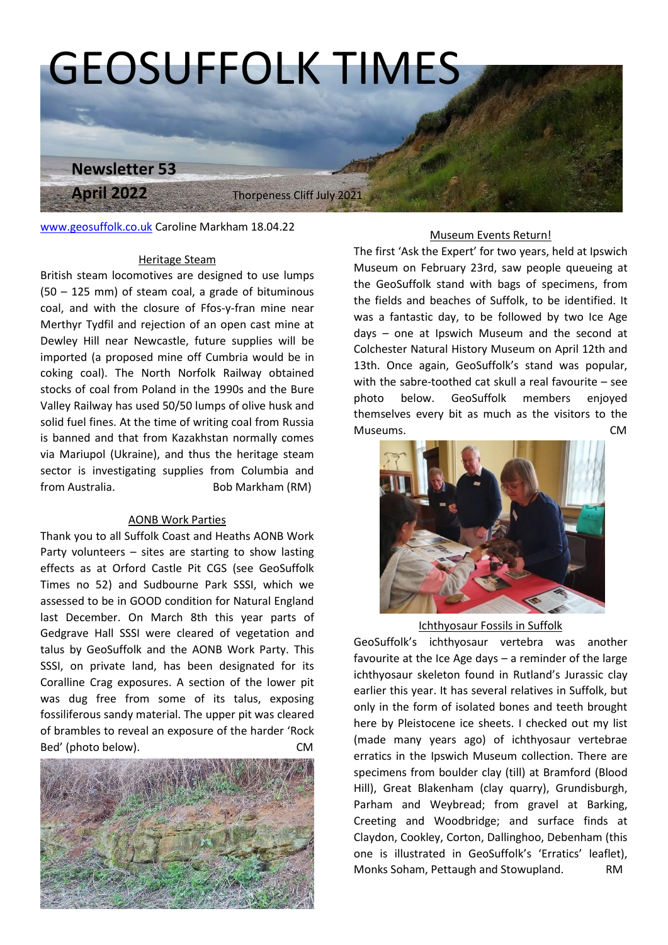

[www.geosuffolk.co.uk](http://www.geosuffolk.co.uk/) Caroline Markham 18.04.22

## Heritage Steam

British steam locomotives are designed to use lumps (50 – 125 mm) of steam coal, a grade of bituminous coal, and with the closure of Ffos-y-fran mine near Merthyr Tydfil and rejection of an open cast mine at Dewley Hill near Newcastle, future supplies will be imported (a proposed mine off Cumbria would be in coking coal). The North Norfolk Railway obtained stocks of coal from Poland in the 1990s and the Bure Valley Railway has used 50/50 lumps of olive husk and solid fuel fines. At the time of writing coal from Russia is banned and that from Kazakhstan normally comes via Mariupol (Ukraine), and thus the heritage steam sector is investigating supplies from Columbia and from Australia. Bob Markham (RM)

#### AONB Work Parties

Thank you to all Suffolk Coast and Heaths AONB Work Party volunteers – sites are starting to show lasting effects as at Orford Castle Pit CGS (see GeoSuffolk Times no 52) and Sudbourne Park SSSI, which we assessed to be in GOOD condition for Natural England last December. On March 8th this year parts of Gedgrave Hall SSSI were cleared of vegetation and talus by GeoSuffolk and the AONB Work Party. This SSSI, on private land, has been designated for its Coralline Crag exposures. A section of the lower pit was dug free from some of its talus, exposing fossiliferous sandy material. The upper pit was cleared of brambles to reveal an exposure of the harder 'Rock Bed' (photo below). CM show lasting<br>the GeoSuffolk<br>SI, which we



#### Museum Events Return!

The first 'Ask the Expert' for two years, held at Ipswich Museum on February 23rd, saw people queueing at the GeoSuffolk stand with bags of specimens, from the fields and beaches of Suffolk, to be identified. It was a fantastic day, to be followed by two Ice Age days – one at Ipswich Museum and the second at Colchester Natural History Museum on April 12th and 13th. Once again, GeoSuffolk's stand was popular, with the sabre-toothed cat skull a real favourite – see photo below. GeoSuffolk members enjoyed themselves every bit as much as the visitors to the Museums. CM



## Ichthyosaur Fossils in Suffolk

GeoSuffolk's ichthyosaur vertebra was another favourite at the Ice Age days – a reminder of the large ichthyosaur skeleton found in Rutland's Jurassic clay earlier this year. It has several relatives in Suffolk, but only in the form of isolated bones and teeth brought here by Pleistocene ice sheets. I checked out my list (made many years ago) of ichthyosaur vertebrae erratics in the Ipswich Museum collection. There are specimens from boulder clay (till) at Bramford (Blood Hill), Great Blakenham (clay quarry), Grundisburgh, Parham and Weybread; from gravel at Barking, Creeting and Woodbridge; and surface finds at Claydon, Cookley, Corton, Dallinghoo, Debenham (this one is illustrated in GeoSuffolk's 'Erratics' leaflet), Monks Soham, Pettaugh and Stowupland. RM